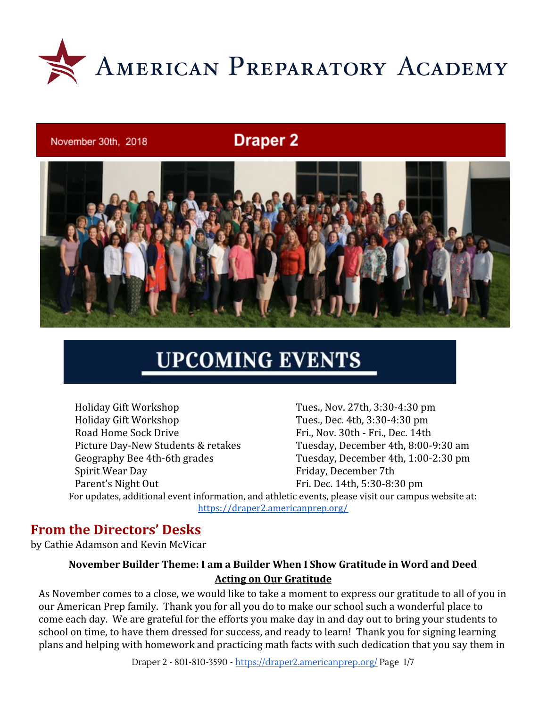

#### November 30th, 2018

### **Draper 2**



# **UPCOMING EVENTS**

Holiday Gift Workshop Tues., Nov. 27th, 3:30-4:30 pm Holiday Gift Workshop Tues., Dec. 4th, 3:30-4:30 pm Road Home Sock Drive Fri., Nov. 30th - Fri., Dec. 14th Picture Day-New Students & retakes Tuesday, December 4th, 8:00-9:30 am Geography Bee 4th-6th grades Tuesday, December 4th, 1:00-2:30 pm Spirit Wear Day **Friday**, December 7th Parent's Night Out Fri. Dec. 14th, 5:30-8:30 pm For updates, additional event information, and athletic events, please visit our campus website at: <https://draper2.americanprep.org/>

### **From the Directors' Desks**

by Cathie Adamson and Kevin McVicar

### **November Builder Theme: I am a Builder When I Show Gratitude in Word and Deed Acting on Our Gratitude**

As November comes to a close, we would like to take a moment to express our gratitude to all of you in our American Prep family. Thank you for all you do to make our school such a wonderful place to come each day. We are grateful for the efforts you make day in and day out to bring your students to school on time, to have them dressed for success, and ready to learn! Thank you for signing learning plans and helping with homework and practicing math facts with such dedication that you say them in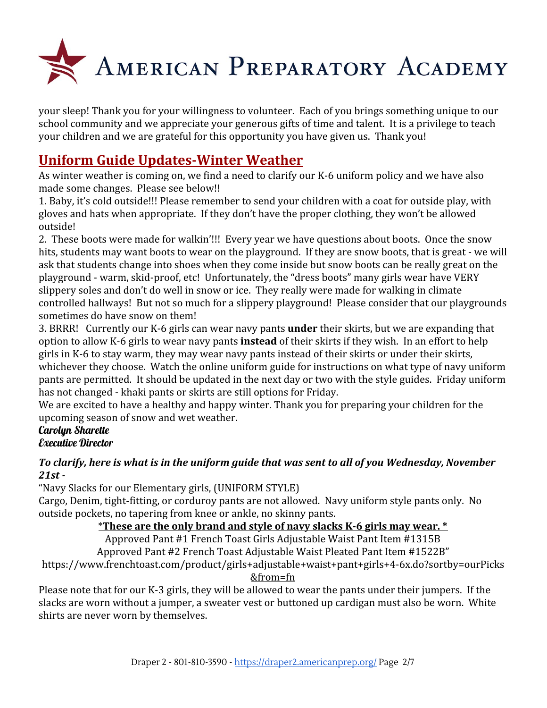

your sleep! Thank you for your willingness to volunteer. Each of you brings something unique to our school community and we appreciate your generous gifts of time and talent. It is a privilege to teach your children and we are grateful for this opportunity you have given us. Thank you!

## **Uniform Guide Updates-Winter Weather**

As winter weather is coming on, we find a need to clarify our K-6 uniform policy and we have also made some changes. Please see below!!

1. Baby, it's cold outside!!! Please remember to send your children with a coat for outside play, with gloves and hats when appropriate. If they don't have the proper clothing, they won't be allowed outside!

2. These boots were made for walkin'!!! Every year we have questions about boots. Once the snow hits, students may want boots to wear on the playground. If they are snow boots, that is great - we will ask that students change into shoes when they come inside but snow boots can be really great on the playground - warm, skid-proof, etc! Unfortunately, the "dress boots" many girls wear have VERY slippery soles and don't do well in snow or ice. They really were made for walking in climate controlled hallways! But not so much for a slippery playground! Please consider that our playgrounds sometimes do have snow on them!

3. BRRR! Currently our K-6 girls can wear navy pants **under** their skirts, but we are expanding that option to allow K-6 girls to wear navy pants **instead** of their skirts if they wish. In an effort to help girls in K-6 to stay warm, they may wear navy pants instead of their skirts or under their skirts, whichever they choose. Watch the online uniform guide for instructions on what type of navy uniform pants are permitted. It should be updated in the next day or two with the style guides. Friday uniform has not changed - khaki pants or skirts are still options for Friday.

We are excited to have a healthy and happy winter. Thank you for preparing your children for the upcoming season of snow and wet weather.

### Carolun Sharette Executive Director

### *To clarify, here is what is in the uniform guide that was sent to all of you Wednesday, November 21st -*

"Navy Slacks for our Elementary girls, (UNIFORM STYLE)

Cargo, Denim, tight-fitting, or corduroy pants are not allowed. Navy uniform style pants only. No outside pockets, no tapering from knee or ankle, no skinny pants.

### \***These are the only brand and style of navy slacks K-6 girls may wear. \***

Approved Pant #1 French Toast Girls Adjustable Waist Pant Item #1315B

Approved Pant #2 French Toast Adjustable Waist Pleated Pant Item #1522B"

[https://www.frenchtoast.com/product/girls+adjustable+waist+pant+girls+4-6x.do?sortby=ourPicks](https://www.frenchtoast.com/product/girls+adjustable+waist+pant+girls+4-6x.do?sortby=ourPicks&from=fn)

### [&from=fn](https://www.frenchtoast.com/product/girls+adjustable+waist+pant+girls+4-6x.do?sortby=ourPicks&from=fn)

Please note that for our K-3 girls, they will be allowed to wear the pants under their jumpers. If the slacks are worn without a jumper, a sweater vest or buttoned up cardigan must also be worn. White shirts are never worn by themselves.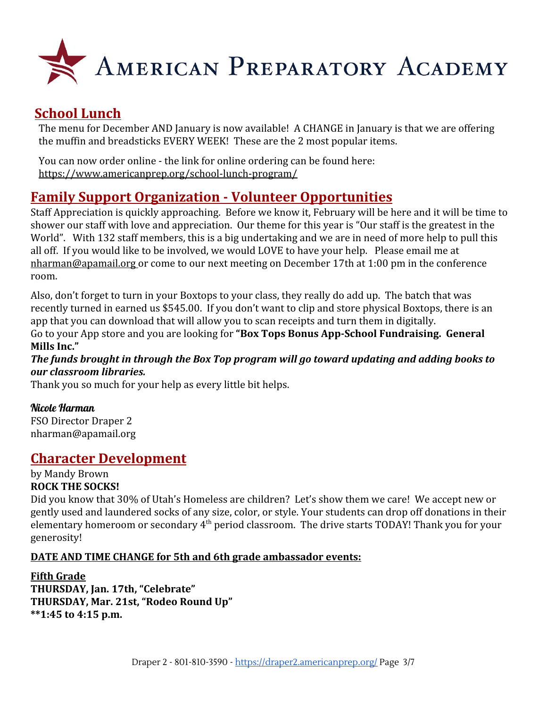

# **School Lunch**

The menu for December AND January is now available! A CHANGE in January is that we are offering the muffin and breadsticks EVERY WEEK! These are the 2 most popular items.

You can now order online - the link for online ordering can be found here: <https://www.americanprep.org/school-lunch-program/>

### **Family Support Organization - Volunteer Opportunities**

Staff Appreciation is quickly approaching. Before we know it, February will be here and it will be time to shower our staff with love and appreciation. Our theme for this year is "Our staff is the greatest in the World". With 132 staff members, this is a big undertaking and we are in need of more help to pull this all off. If you would like to be involved, we would LOVE to have your help. Please email me at [nharman@apamail.org](mailto:nharman@apamail.org) or come to our next meeting on December 17th at 1:00 pm in the conference room.

Also, don't forget to turn in your Boxtops to your class, they really do add up. The batch that was recently turned in earned us \$545.00. If you don't want to clip and store physical Boxtops, there is an app that you can download that will allow you to scan receipts and turn them in digitally. Go to your App store and you are looking for **"Box Tops Bonus App-School Fundraising. General Mills Inc."**

*The funds brought in through the Box Top program will go toward updating and adding books to our classroom libraries.*

Thank you so much for your help as every little bit helps.

### Nicole Harman

FSO Director Draper 2 [nharman@apamail.org](mailto:nharman@apamail.org)

### **Character Development**

by Mandy Brown **ROCK THE SOCKS!**

Did you know that 30% of Utah's Homeless are children? Let's show them we care! We accept new or gently used and laundered socks of any size, color, or style. Your students can drop off donations in their elementary homeroom or secondary 4<sup>th</sup> period classroom. The drive starts TODAY! Thank you for your generosity!

### **DATE AND TIME CHANGE for 5th and 6th grade ambassador events:**

#### **Fifth Grade THURSDAY, Jan. 17th, "Celebrate" THURSDAY, Mar. 21st, "Rodeo Round Up" \*\*1:45 to 4:15 p.m.**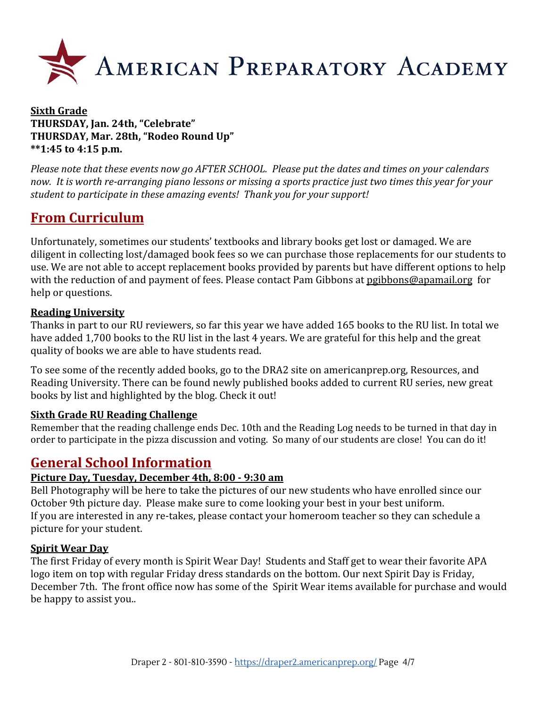

#### **Sixth Grade THURSDAY, Jan. 24th, "Celebrate" THURSDAY, Mar. 28th, "Rodeo Round Up" \*\*1:45 to 4:15 p.m.**

*Please note that these events now go AFTER SCHOOL. Please put the dates and times on your calendars now. It is worth re-arranging piano lessons or missing a sports practice just two times this year for your student to participate in these amazing events! Thank you for your support!*

# **From Curriculum**

Unfortunately, sometimes our students' textbooks and library books get lost or damaged. We are diligent in collecting lost/damaged book fees so we can purchase those replacements for our students to use. We are not able to accept replacement books provided by parents but have different options to help with the reduction of and payment of fees. Please contact Pam Gibbons at [pgibbons@apamail.org](mailto:pgibbons@apamail.org) for help or questions.

### **Reading University**

Thanks in part to our RU reviewers, so far this year we have added 165 books to the RU list. In total we have added 1,700 books to the RU list in the last 4 years. We are grateful for this help and the great quality of books we are able to have students read.

To see some of the recently added books, go to the DRA2 site on [americanprep.org](http://americanprep.org/), Resources, and Reading University. There can be found newly published books added to current RU series, new great books by list and highlighted by the blog. Check it out!

#### **Sixth Grade RU Reading Challenge**

Remember that the reading challenge ends Dec. 10th and the Reading Log needs to be turned in that day in order to participate in the pizza discussion and voting. So many of our students are close! You can do it!

### **General School Information**

#### **Picture Day, Tuesday, December 4th, 8:00 - 9:30 am**

Bell Photography will be here to take the pictures of our new students who have enrolled since our October 9th picture day. Please make sure to come looking your best in your best uniform. If you are interested in any re-takes, please contact your homeroom teacher so they can schedule a picture for your student.

#### **Spirit Wear Day**

The first Friday of every month is Spirit Wear Day! Students and Staff get to wear their favorite APA logo item on top with regular Friday dress standards on the bottom. Our next Spirit Day is Friday, December 7th. The front office now has some of the Spirit Wear items available for purchase and would be happy to assist you..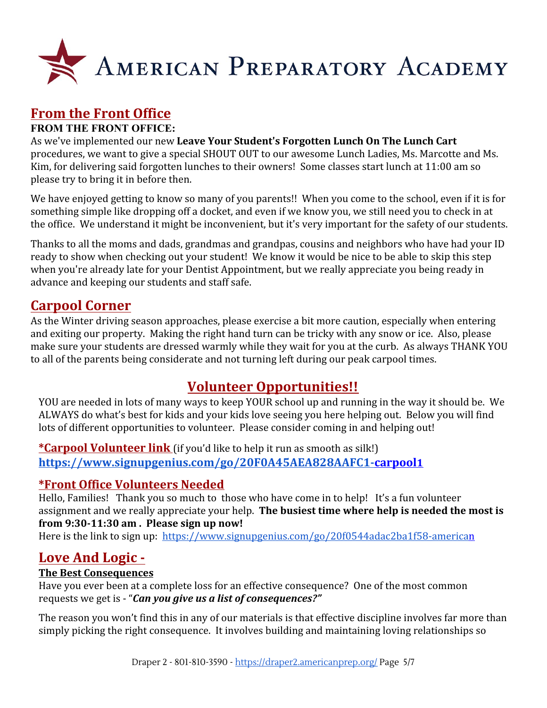

# **From the Front Office**

### **FROM THE FRONT OFFICE:**

As we've implemented our new **Leave Your Student's Forgotten Lunch On The Lunch Cart** procedures, we want to give a special SHOUT OUT to our awesome Lunch Ladies, Ms. Marcotte and Ms. Kim, for delivering said forgotten lunches to their owners! Some classes start lunch at 11:00 am so please try to bring it in before then.

We have enjoyed getting to know so many of you parents!! When you come to the school, even if it is for something simple like dropping off a docket, and even if we know you, we still need you to check in at the office. We understand it might be inconvenient, but it's very important for the safety of our students.

Thanks to all the moms and dads, grandmas and grandpas, cousins and neighbors who have had your ID ready to show when checking out your student! We know it would be nice to be able to skip this step when you're already late for your Dentist Appointment, but we really appreciate you being ready in advance and keeping our students and staff safe.

### **Carpool Corner**

As the Winter driving season approaches, please exercise a bit more caution, especially when entering and exiting our property. Making the right hand turn can be tricky with any snow or ice. Also, please make sure your students are dressed warmly while they wait for you at the curb. As always THANK YOU to all of the parents being considerate and not turning left during our peak carpool times.

### **Volunteer Opportunities!!**

YOU are needed in lots of many ways to keep YOUR school up and running in the way it should be. We ALWAYS do what's best for kids and your kids love seeing you here helping out. Below you will find lots of different opportunities to volunteer. Please consider coming in and helping out!

**\*Carpool Volunteer link** (if you'd like to help it run as smooth as silk!) **[https://www.signupgenius.com/go/20F0A45AEA828AAFC1-carpool](https://www.signupgenius.com/go/20F0A45AEA828AAFC1-carpool1)1**

### **\*Front Office Volunteers Needed**

Hello, Families! Thank you so much to those who have come in to help! It's a fun volunteer assignment and we really appreciate your help. **The busiest time where help is needed the most is from 9:30-11:30 am . Please sign up now!**

Here is the link to sign up: <https://www.signupgenius.com/go/20f0544adac2ba1f58-american>

### **Love And Logic -**

### **The Best Consequences**

Have you ever been at a complete loss for an effective consequence? One of the most common requests we get is - "*Can you give us a list of consequences?"*

The reason you won't find this in any of our materials is that effective discipline involves far more than simply picking the right consequence. It involves building and maintaining loving relationships so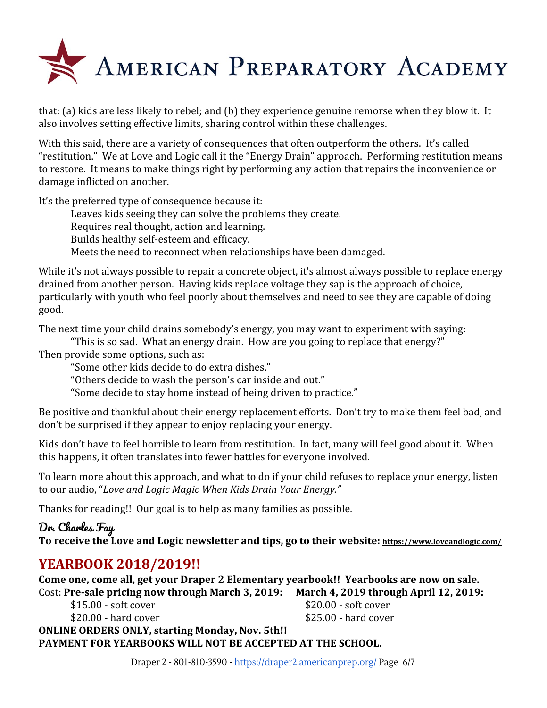

that: (a) kids are less likely to rebel; and (b) they experience genuine remorse when they blow it. It also involves setting effective limits, sharing control within these challenges.

With this said, there are a variety of consequences that often outperform the others. It's called "restitution." We at Love and Logic call it the "Energy Drain" approach. Performing restitution means to restore. It means to make things right by performing any action that repairs the inconvenience or damage inflicted on another.

It's the preferred type of consequence because it:

Leaves kids seeing they can solve the problems they create.

Requires real thought, action and learning.

Builds healthy self-esteem and efficacy.

Meets the need to reconnect when relationships have been damaged.

While it's not always possible to repair a concrete object, it's almost always possible to replace energy drained from another person. Having kids replace voltage they sap is the approach of choice, particularly with youth who feel poorly about themselves and need to see they are capable of doing good.

The next time your child drains somebody's energy, you may want to experiment with saying:

"This is so sad. What an energy drain. How are you going to replace that energy?" Then provide some options, such as:

"Some other kids decide to do extra dishes."

"Others decide to wash the person's car inside and out."

"Some decide to stay home instead of being driven to practice."

Be positive and thankful about their energy replacement efforts. Don't try to make them feel bad, and don't be surprised if they appear to enjoy replacing your energy.

Kids don't have to feel horrible to learn from restitution. In fact, many will feel good about it. When this happens, it often translates into fewer battles for everyone involved.

To learn more about this approach, and what to do if your child refuses to replace your energy, listen to our audio, "*Love and Logic Magic When Kids Drain Your Energy."*

Thanks for reading!! Our goal is to help as many families as possible.

### Dr. Charles Fay

**To receive the Love and Logic newsletter and tips, go to their website: <https://www.loveandlogic.com/>**

# **YEARBOOK 2018/2019!!**

**Come one, come all, get your Draper 2 Elementary yearbook!! Yearbooks are now on sale.** Cost: **Pre-sale pricing now through March 3, 2019: March 4, 2019 through April 12, 2019:**

\$15.00 - soft cover \$20.00 - soft cover

\$20.00 - hard cover \$25.00 - hard cover

**ONLINE ORDERS ONLY, starting Monday, Nov. 5th!! PAYMENT FOR YEARBOOKS WILL NOT BE ACCEPTED AT THE SCHOOL.**